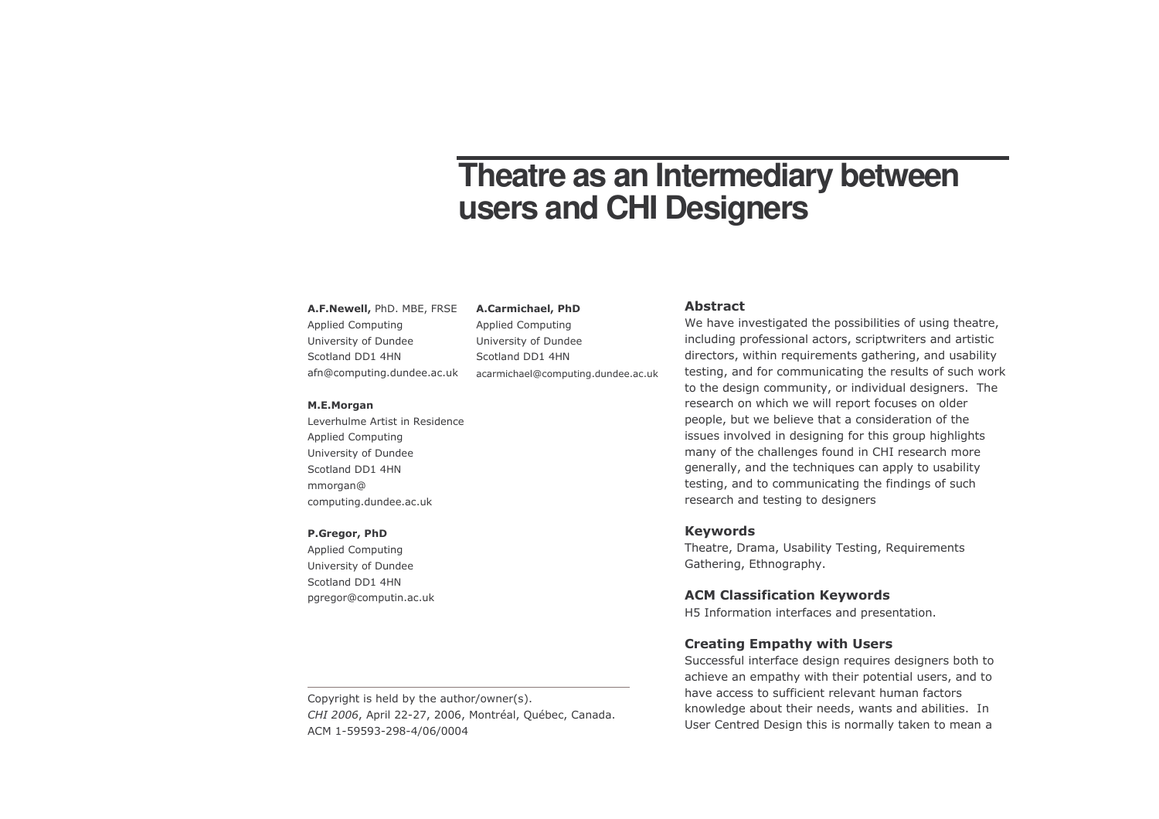# Theatre as an Intermediary between users and CHI Designers

#### A.F.Newell, PhD. MBE, FRSE

**Applied Computing** University of Dundee Scotland DD1 4HN afn@computing.dundee.ac.uk

#### M.E.Morgan

Leverhulme Artist in Residence **Applied Computing** University of Dundee Scotland DD1 4HN mmorgan@ computing.dundee.ac.uk

#### P.Gregor, PhD

Applied Computing University of Dundee Scotland DD1 4HN pgregor@computin.ac.uk

#### **Abstract**

We have investigated the possibilities of using theatre, including professional actors, scriptwriters and artistic directors, within requirements gathering, and usability testing, and for communicating the results of such work to the design community, or individual designers. The research on which we will report focuses on older people, but we believe that a consideration of the issues involved in designing for this group highlights many of the challenges found in CHI research more generally, and the techniques can apply to usability testing, and to communicating the findings of such research and testing to designers

## **Keywords**

Theatre, Drama, Usability Testing, Requirements Gathering, Ethnography.

## **ACM Classification Keywords**

H5 Information interfaces and presentation.

## **Creating Empathy with Users**

Successful interface design requires designers both to achieve an empathy with their potential users, and to have access to sufficient relevant human factors knowledge about their needs, wants and abilities. In User Centred Design this is normally taken to mean a

Copyright is held by the author/owner(s). CHI 2006, April 22-27, 2006, Montréal, Québec, Canada. ACM 1-59593-298-4/06/0004

A.Carmichael, PhD

University of Dundee

acarmichael@computing.dundee.ac.uk

Applied Computing

Scotland DD1 4HN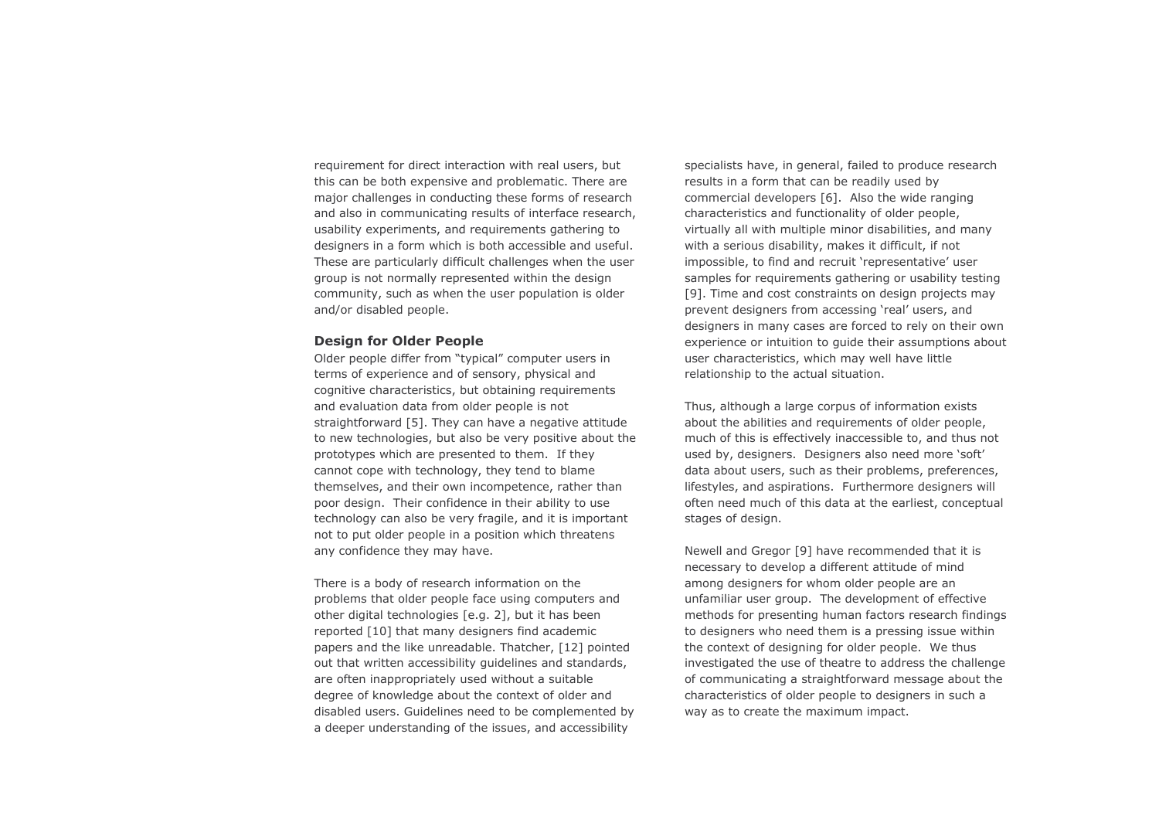requirement for direct interaction with real users, but this can be both expensive and problematic. There are major challenges in conducting these forms of research and also in communicating results of interface research, usability experiments, and requirements gathering to designers in a form which is both accessible and useful. These are particularly difficult challenges when the user group is not normally represented within the design community, such as when the user population is older and/or disabled people.

## **Design for Older People**

Older people differ from "typical" computer users in terms of experience and of sensory, physical and cognitive characteristics, but obtaining requirements and evaluation data from older people is not straightforward [5]. They can have a negative attitude to new technologies, but also be very positive about the prototypes which are presented to them. If they cannot cope with technology, they tend to blame themselves, and their own incompetence, rather than poor design. Their confidence in their ability to use technology can also be very fragile, and it is important not to put older people in a position which threatens any confidence they may have.

There is a body of research information on the problems that older people face using computers and other digital technologies [e.g. 2], but it has been reported [10] that many designers find academic papers and the like unreadable. Thatcher, [12] pointed out that written accessibility quidelines and standards, are often inappropriately used without a suitable degree of knowledge about the context of older and disabled users. Guidelines need to be complemented by a deeper understanding of the issues, and accessibility

specialists have, in general, failed to produce research results in a form that can be readily used by commercial developers [6]. Also the wide ranging characteristics and functionality of older people, virtually all with multiple minor disabilities, and many with a serious disability, makes it difficult, if not impossible, to find and recruit 'representative' user samples for requirements gathering or usability testing [9]. Time and cost constraints on design projects may prevent designers from accessing 'real' users, and designers in many cases are forced to rely on their own experience or intuition to quide their assumptions about user characteristics, which may well have little relationship to the actual situation.

Thus, although a large corpus of information exists about the abilities and requirements of older people. much of this is effectively inaccessible to, and thus not used by, designers. Designers also need more 'soft' data about users, such as their problems, preferences, lifestyles, and aspirations. Furthermore designers will often need much of this data at the earliest, conceptual stages of design.

Newell and Gregor [9] have recommended that it is necessary to develop a different attitude of mind among designers for whom older people are an unfamiliar user group. The development of effective methods for presenting human factors research findings to designers who need them is a pressing issue within the context of designing for older people. We thus investigated the use of theatre to address the challenge of communicating a straightforward message about the characteristics of older people to designers in such a way as to create the maximum impact.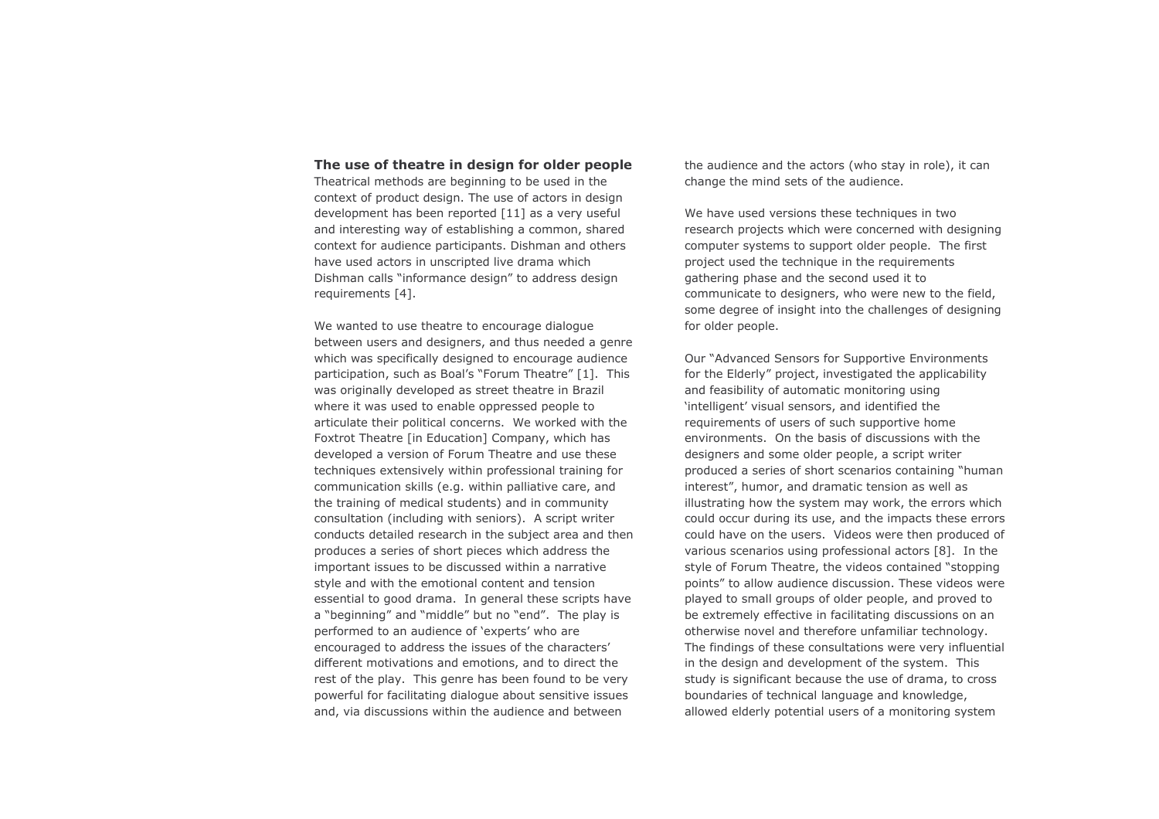## The use of theatre in design for older people

Theatrical methods are beginning to be used in the context of product design. The use of actors in design development has been reported [11] as a very useful and interesting way of establishing a common, shared context for audience participants. Dishman and others have used actors in unscripted live drama which Dishman calls "informance design" to address design requirements [4].

We wanted to use theatre to encourage dialogue between users and designers, and thus needed a genre which was specifically designed to encourage audience participation, such as Boal's "Forum Theatre" [1]. This was originally developed as street theatre in Brazil where it was used to enable oppressed people to articulate their political concerns. We worked with the Foxtrot Theatre [in Education] Company, which has developed a version of Forum Theatre and use these techniques extensively within professional training for communication skills (e.g. within palliative care, and the training of medical students) and in community consultation (including with seniors). A script writer conducts detailed research in the subject area and then produces a series of short pieces which address the important issues to be discussed within a narrative style and with the emotional content and tension essential to good drama. In general these scripts have a "beginning" and "middle" but no "end". The play is performed to an audience of 'experts' who are encouraged to address the issues of the characters' different motivations and emotions, and to direct the rest of the play. This genre has been found to be very powerful for facilitating dialogue about sensitive issues and, via discussions within the audience and between

the audience and the actors (who stay in role), it can change the mind sets of the audience.

We have used versions these techniques in two research projects which were concerned with designing computer systems to support older people. The first project used the technique in the requirements gathering phase and the second used it to communicate to designers, who were new to the field, some degree of insight into the challenges of designing for older people.

Our "Advanced Sensors for Supportive Environments for the Elderly" project, investigated the applicability and feasibility of automatic monitoring using 'intelligent' visual sensors, and identified the requirements of users of such supportive home environments. On the basis of discussions with the designers and some older people, a script writer produced a series of short scenarios containing "human interest", humor, and dramatic tension as well as illustrating how the system may work, the errors which could occur during its use, and the impacts these errors could have on the users. Videos were then produced of various scenarios using professional actors [8]. In the style of Forum Theatre, the videos contained "stopping points" to allow audience discussion. These videos were played to small groups of older people, and proved to be extremely effective in facilitating discussions on an otherwise novel and therefore unfamiliar technology. The findings of these consultations were very influential in the design and development of the system. This study is significant because the use of drama, to cross boundaries of technical language and knowledge, allowed elderly potential users of a monitoring system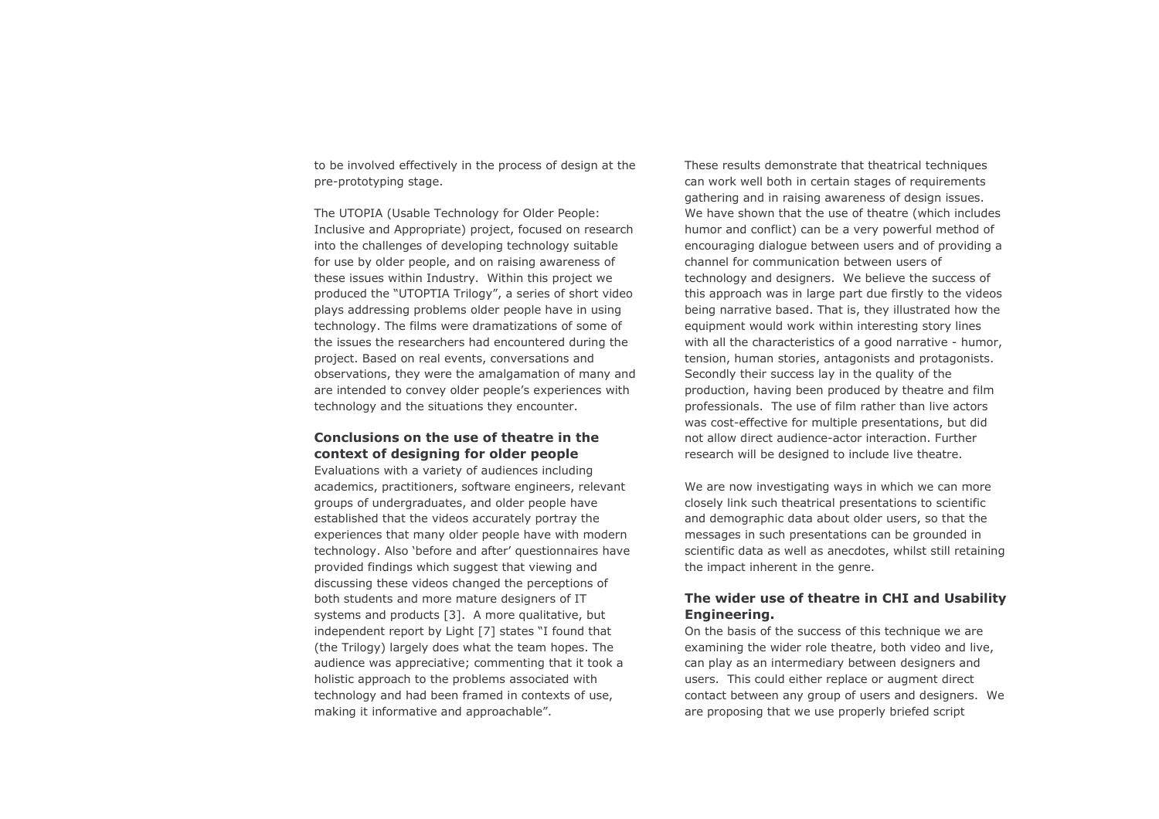to be involved effectively in the process of design at the pre-prototyping stage.

The UTOPIA (Usable Technology for Older People: Inclusive and Appropriate) project, focused on research into the challenges of developing technology suitable for use by older people, and on raising awareness of these issues within Industry. Within this project we produced the "UTOPTIA Trilogy", a series of short video plays addressing problems older people have in using technology. The films were dramatizations of some of the issues the researchers had encountered during the project. Based on real events, conversations and observations, they were the amalgamation of many and are intended to convey older people's experiences with technology and the situations they encounter.

# Conclusions on the use of theatre in the context of designing for older people

Evaluations with a variety of audiences including academics, practitioners, software engineers, relevant groups of undergraduates, and older people have established that the videos accurately portray the experiences that many older people have with modern technology. Also 'before and after' questionnaires have provided findings which suggest that viewing and discussing these videos changed the perceptions of both students and more mature designers of IT systems and products [3]. A more qualitative, but independent report by Light [7] states "I found that (the Trilogy) largely does what the team hopes. The audience was appreciative; commenting that it took a holistic approach to the problems associated with technology and had been framed in contexts of use, making it informative and approachable".

These results demonstrate that theatrical techniques can work well both in certain stages of requirements gathering and in raising awareness of design issues. We have shown that the use of theatre (which includes humor and conflict) can be a very powerful method of encouraging dialogue between users and of providing a channel for communication between users of technology and designers. We believe the success of this approach was in large part due firstly to the videos being narrative based. That is, they illustrated how the equipment would work within interesting story lines with all the characteristics of a good narrative - humor, tension, human stories, antagonists and protagonists. Secondly their success lay in the quality of the production, having been produced by theatre and film professionals. The use of film rather than live actors was cost-effective for multiple presentations, but did not allow direct audience-actor interaction. Further research will be designed to include live theatre.

We are now investigating ways in which we can more closely link such theatrical presentations to scientific and demographic data about older users, so that the messages in such presentations can be grounded in scientific data as well as anecdotes, whilst still retaining the impact inherent in the genre.

# The wider use of theatre in CHI and Usability Engineering.

On the basis of the success of this technique we are examining the wider role theatre, both video and live, can play as an intermediary between designers and users. This could either replace or augment direct contact between any group of users and designers. We are proposing that we use properly briefed script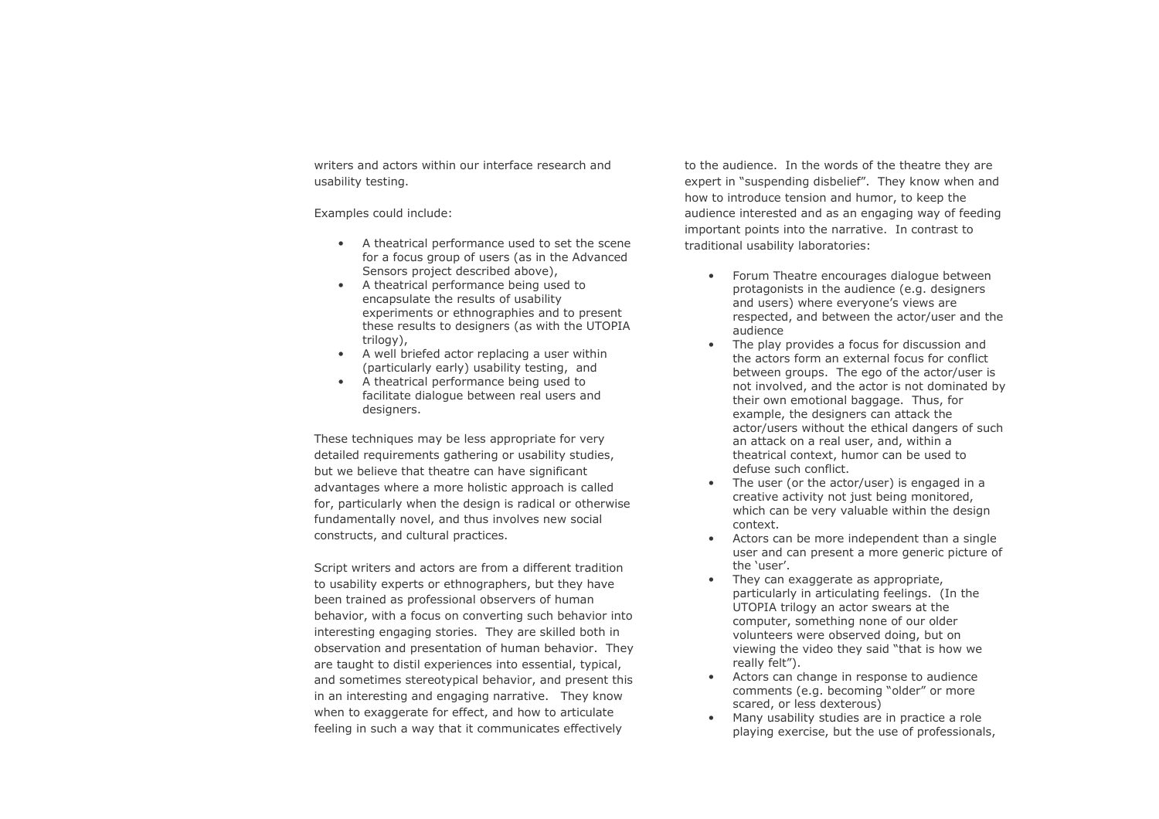writers and actors within our interface research and usability testing.

Examples could include:

- A theatrical performance used to set the scene for a focus group of users (as in the Advanced Sensors project described above).
- A theatrical performance being used to encapsulate the results of usability experiments or ethnographies and to present these results to designers (as with the UTOPIA trilogy),
- A well briefed actor replacing a user within (particularly early) usability testing, and
- A theatrical performance being used to facilitate dialogue between real users and designers.

These techniques may be less appropriate for very detailed requirements gathering or usability studies, but we believe that theatre can have significant advantages where a more holistic approach is called for, particularly when the design is radical or otherwise fundamentally novel, and thus involves new social constructs, and cultural practices.

Script writers and actors are from a different tradition to usability experts or ethnographers, but they have been trained as professional observers of human behavior, with a focus on converting such behavior into interesting engaging stories. They are skilled both in observation and presentation of human behavior. They are taught to distil experiences into essential, typical, and sometimes stereotypical behavior, and present this in an interesting and engaging narrative. They know when to exaggerate for effect, and how to articulate feeling in such a way that it communicates effectively

to the audience. In the words of the theatre they are expert in "suspending disbelief". They know when and how to introduce tension and humor, to keep the audience interested and as an engaging way of feeding important points into the narrative. In contrast to traditional usability laboratories:

- Forum Theatre encourages dialogue between protagonists in the audience (e.g. designers and users) where everyone's views are respected, and between the actor/user and the audience
- The play provides a focus for discussion and the actors form an external focus for conflict between groups. The ego of the actor/user is not involved, and the actor is not dominated by their own emotional baggage. Thus, for example, the designers can attack the actor/users without the ethical dangers of such an attack on a real user, and, within a theatrical context, humor can be used to defuse such conflict.
- The user (or the actor/user) is engaged in a creative activity not just being monitored. which can be very valuable within the design context.
- Actors can be more independent than a single user and can present a more generic picture of the 'user'.
- They can exaggerate as appropriate, particularly in articulating feelings. (In the UTOPIA trilogy an actor swears at the computer, something none of our older volunteers were observed doing, but on viewing the video they said "that is how we really felt").
- Actors can change in response to audience comments (e.g. becoming "older" or more scared, or less dexterous)
- Many usability studies are in practice a role playing exercise, but the use of professionals,